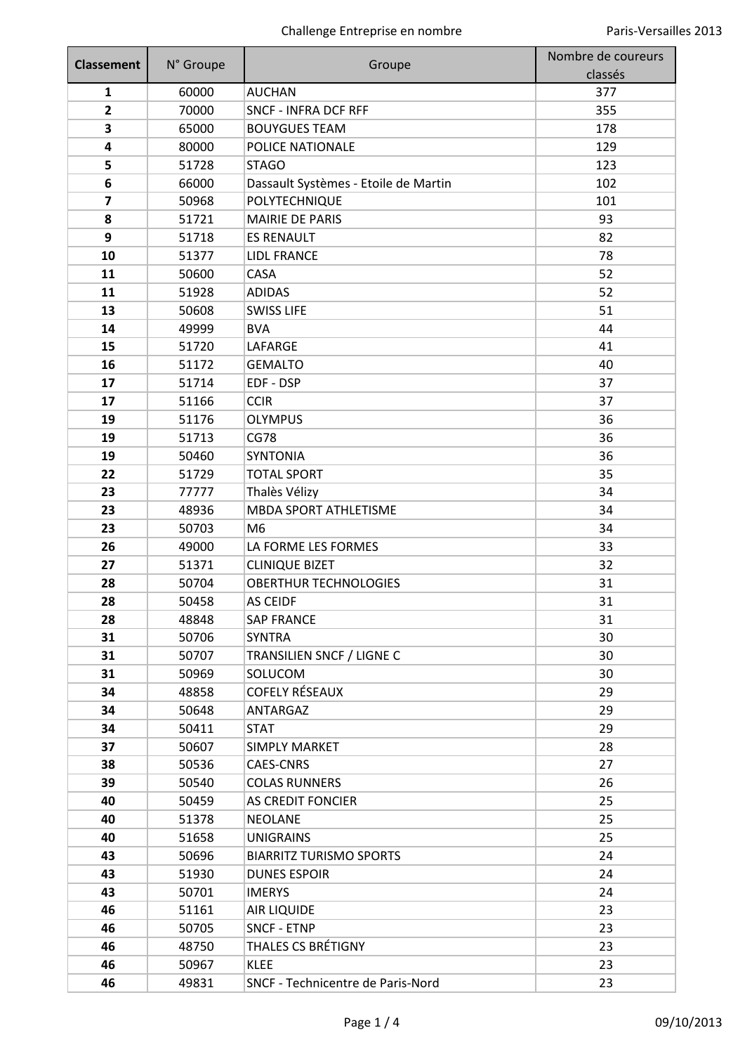| <b>Classement</b>       | N° Groupe | Groupe                               | Nombre de coureurs |
|-------------------------|-----------|--------------------------------------|--------------------|
|                         |           |                                      | classés            |
| $\mathbf{1}$            | 60000     | <b>AUCHAN</b>                        | 377                |
| $\mathbf{2}$            | 70000     | <b>SNCF - INFRA DCF RFF</b>          | 355                |
| 3                       | 65000     | <b>BOUYGUES TEAM</b>                 | 178                |
| 4                       | 80000     | POLICE NATIONALE                     | 129                |
| 5                       | 51728     | <b>STAGO</b>                         | 123                |
| 6                       | 66000     | Dassault Systèmes - Etoile de Martin | 102                |
| $\overline{\mathbf{z}}$ | 50968     | POLYTECHNIQUE                        | 101                |
| 8                       | 51721     | <b>MAIRIE DE PARIS</b>               | 93                 |
| 9                       | 51718     | <b>ES RENAULT</b>                    | 82                 |
| 10                      | 51377     | <b>LIDL FRANCE</b>                   | 78                 |
| 11                      | 50600     | CASA                                 | 52                 |
| 11                      | 51928     | <b>ADIDAS</b>                        | 52                 |
| 13                      | 50608     | <b>SWISS LIFE</b>                    | 51                 |
| 14                      | 49999     | <b>BVA</b>                           | 44                 |
| 15                      | 51720     | LAFARGE                              | 41                 |
| 16                      | 51172     | <b>GEMALTO</b>                       | 40                 |
| 17                      | 51714     | EDF - DSP                            | 37                 |
| 17                      | 51166     | <b>CCIR</b>                          | 37                 |
| 19                      | 51176     | <b>OLYMPUS</b>                       | 36                 |
| 19                      | 51713     | <b>CG78</b>                          | 36                 |
| 19                      | 50460     | <b>SYNTONIA</b>                      | 36                 |
| 22                      | 51729     | <b>TOTAL SPORT</b>                   | 35                 |
| 23                      | 77777     | Thalès Vélizy                        | 34                 |
| 23                      | 48936     | <b>MBDA SPORT ATHLETISME</b>         | 34                 |
| 23                      | 50703     | M6                                   | 34                 |
| 26                      | 49000     | LA FORME LES FORMES                  | 33                 |
| 27                      | 51371     | <b>CLINIQUE BIZET</b>                | 32                 |
| 28                      | 50704     | <b>OBERTHUR TECHNOLOGIES</b>         | 31                 |
| 28                      | 50458     | <b>AS CEIDF</b>                      | 31                 |
| 28                      | 48848     | <b>SAP FRANCE</b>                    | 31                 |
| 31                      | 50706     | <b>SYNTRA</b>                        | 30                 |
| 31                      | 50707     | TRANSILIEN SNCF / LIGNE C            | 30                 |
| 31                      | 50969     | SOLUCOM                              | 30                 |
| 34                      | 48858     | <b>COFELY RÉSEAUX</b>                | 29                 |
| 34                      | 50648     | <b>ANTARGAZ</b>                      | 29                 |
| 34                      | 50411     | <b>STAT</b>                          | 29                 |
| 37                      | 50607     | <b>SIMPLY MARKET</b>                 | 28                 |
| 38                      | 50536     | <b>CAES-CNRS</b>                     | 27                 |
| 39                      | 50540     | <b>COLAS RUNNERS</b>                 | 26                 |
| 40                      | 50459     | <b>AS CREDIT FONCIER</b>             | 25                 |
| 40                      | 51378     | <b>NEOLANE</b>                       | 25                 |
| 40                      | 51658     | <b>UNIGRAINS</b>                     | 25                 |
| 43                      | 50696     | <b>BIARRITZ TURISMO SPORTS</b>       | 24                 |
| 43                      | 51930     | <b>DUNES ESPOIR</b>                  | 24                 |
| 43                      | 50701     | <b>IMERYS</b>                        | 24                 |
| 46                      | 51161     | AIR LIQUIDE                          | 23                 |
| 46                      | 50705     | <b>SNCF - ETNP</b>                   | 23                 |
| 46                      | 48750     | <b>THALES CS BRÉTIGNY</b>            | 23                 |
| 46                      | 50967     | <b>KLEE</b>                          | 23                 |
| 46                      | 49831     | SNCF - Technicentre de Paris-Nord    | 23                 |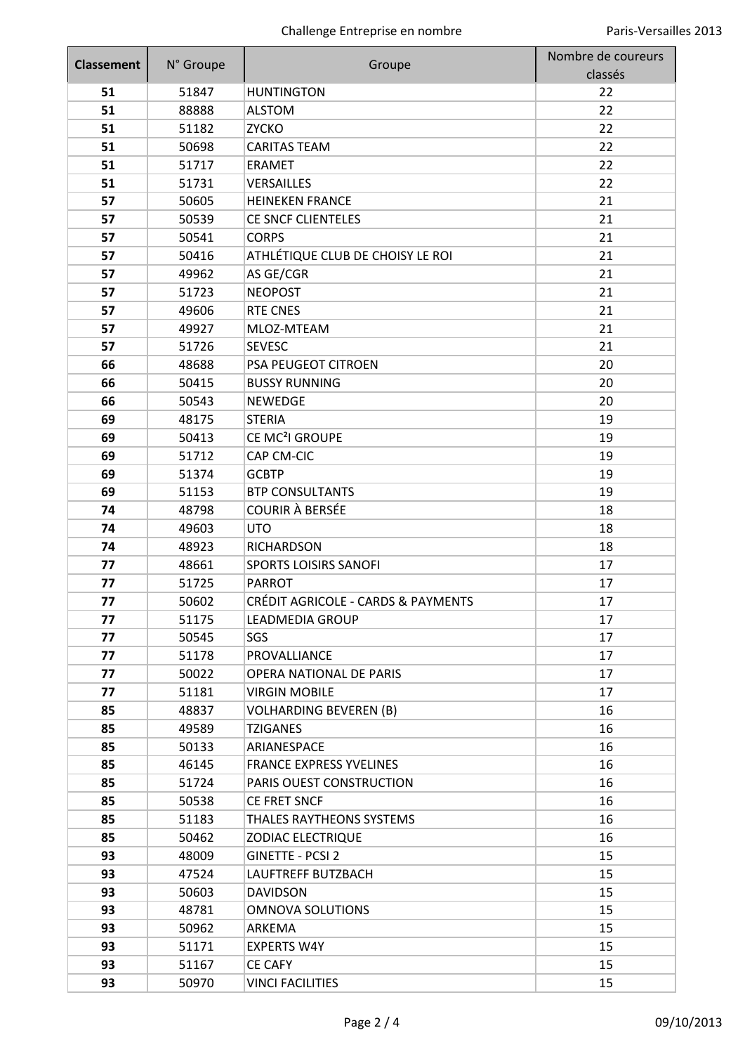| <b>Classement</b> | N° Groupe | Groupe                                        | Nombre de coureurs |
|-------------------|-----------|-----------------------------------------------|--------------------|
|                   |           |                                               | classés            |
| 51                | 51847     | <b>HUNTINGTON</b>                             | 22                 |
| 51                | 88888     | <b>ALSTOM</b>                                 | 22                 |
| 51                | 51182     | <b>ZYCKO</b>                                  | 22                 |
| 51                | 50698     | <b>CARITAS TEAM</b>                           | 22                 |
| 51                | 51717     | <b>ERAMET</b>                                 | 22                 |
| 51                | 51731     | VERSAILLES                                    | 22                 |
| 57                | 50605     | <b>HEINEKEN FRANCE</b>                        | 21                 |
| 57                | 50539     | <b>CE SNCF CLIENTELES</b>                     | 21                 |
| 57                | 50541     | <b>CORPS</b>                                  | 21                 |
| 57                | 50416     | ATHLÉTIQUE CLUB DE CHOISY LE ROI              | 21                 |
| 57                | 49962     | AS GE/CGR                                     | 21                 |
| 57                | 51723     | <b>NEOPOST</b>                                | 21                 |
| 57                | 49606     | <b>RTE CNES</b>                               | 21                 |
| 57                | 49927     | MLOZ-MTEAM                                    | 21                 |
| 57                | 51726     | <b>SEVESC</b>                                 | 21                 |
| 66                | 48688     | PSA PEUGEOT CITROEN                           | 20                 |
| 66                | 50415     | <b>BUSSY RUNNING</b>                          | 20                 |
| 66                | 50543     | <b>NEWEDGE</b>                                | 20                 |
| 69                | 48175     | <b>STERIA</b>                                 | 19                 |
| 69                | 50413     | CE MC <sup>2</sup> I GROUPE                   | 19                 |
| 69                | 51712     | CAP CM-CIC                                    | 19                 |
| 69                | 51374     | <b>GCBTP</b>                                  | 19                 |
| 69                | 51153     | <b>BTP CONSULTANTS</b>                        | 19                 |
| 74                | 48798     | <b>COURIR À BERSÉE</b>                        | 18                 |
| 74                | 49603     | <b>UTO</b>                                    | 18                 |
| 74                | 48923     | <b>RICHARDSON</b>                             | 18                 |
| 77                | 48661     | <b>SPORTS LOISIRS SANOFI</b>                  | 17                 |
| 77                | 51725     | <b>PARROT</b>                                 | 17                 |
| 77                | 50602     | <b>CRÉDIT AGRICOLE - CARDS &amp; PAYMENTS</b> | 17                 |
| 77                | 51175     | LEADMEDIA GROUP                               | 17                 |
| 77                | 50545     | SGS                                           | 17                 |
| 77                | 51178     | PROVALLIANCE                                  | 17                 |
| 77                | 50022     | OPERA NATIONAL DE PARIS                       | 17                 |
| 77                | 51181     | <b>VIRGIN MOBILE</b>                          | 17                 |
| 85                | 48837     | <b>VOLHARDING BEVEREN (B)</b>                 | 16                 |
| 85                | 49589     | <b>TZIGANES</b>                               | 16                 |
| 85                | 50133     | ARIANESPACE                                   | 16                 |
| 85                | 46145     | <b>FRANCE EXPRESS YVELINES</b>                | 16                 |
| 85                | 51724     | PARIS OUEST CONSTRUCTION                      | 16                 |
| 85                | 50538     | CE FRET SNCF                                  | 16                 |
| 85                | 51183     | THALES RAYTHEONS SYSTEMS                      | 16                 |
| 85                | 50462     | <b>ZODIAC ELECTRIQUE</b>                      | 16                 |
| 93                | 48009     | <b>GINETTE - PCSI 2</b>                       | 15                 |
| 93                | 47524     | LAUFTREFF BUTZBACH                            | 15                 |
| 93                | 50603     | <b>DAVIDSON</b>                               | 15                 |
| 93                | 48781     | <b>OMNOVA SOLUTIONS</b>                       | 15                 |
| 93                | 50962     | ARKEMA                                        | 15                 |
| 93                | 51171     | <b>EXPERTS W4Y</b>                            | 15                 |
| 93                | 51167     | <b>CE CAFY</b>                                | 15                 |
| 93                | 50970     | <b>VINCI FACILITIES</b>                       | 15                 |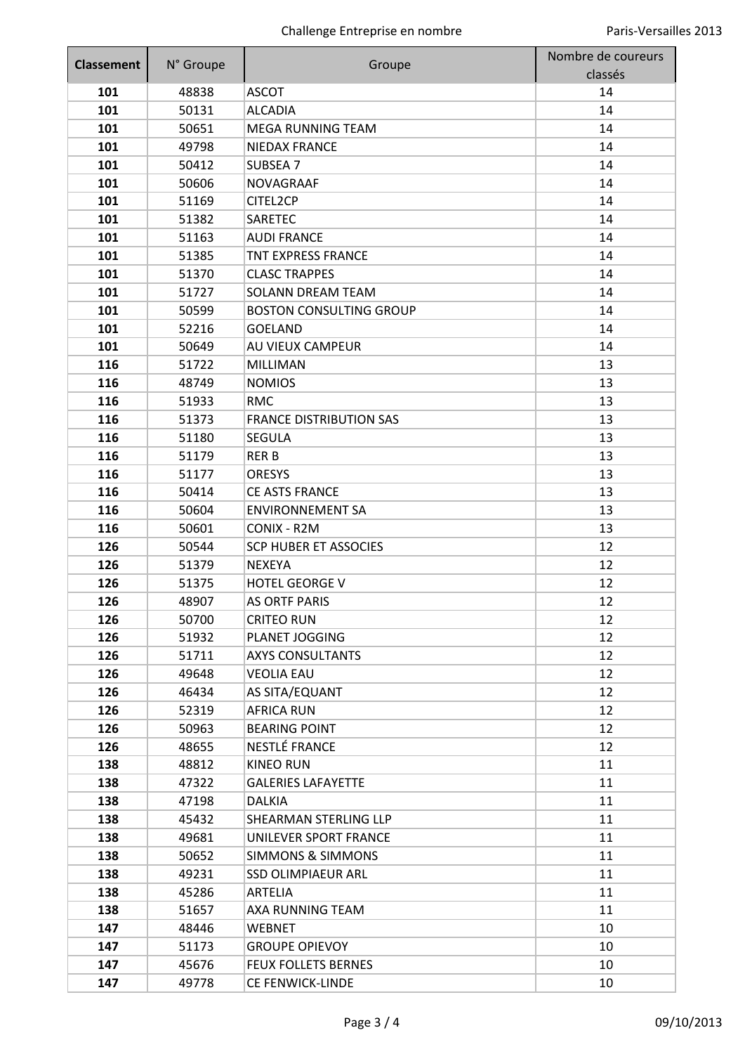| <b>Classement</b> | N° Groupe | Groupe                         | Nombre de coureurs |
|-------------------|-----------|--------------------------------|--------------------|
|                   |           |                                | classés            |
| 101               | 48838     | <b>ASCOT</b>                   | 14                 |
| 101               | 50131     | <b>ALCADIA</b>                 | 14                 |
| 101               | 50651     | <b>MEGA RUNNING TEAM</b>       | 14                 |
| 101               | 49798     | <b>NIEDAX FRANCE</b>           | 14                 |
| 101               | 50412     | <b>SUBSEA 7</b>                | 14                 |
| 101               | 50606     | <b>NOVAGRAAF</b>               | 14                 |
| 101               | 51169     | CITEL2CP                       | 14                 |
| 101               | 51382     | <b>SARETEC</b>                 | 14                 |
| 101               | 51163     | <b>AUDI FRANCE</b>             | 14                 |
| 101               | 51385     | <b>TNT EXPRESS FRANCE</b>      | 14                 |
| 101               | 51370     | <b>CLASC TRAPPES</b>           | 14                 |
| 101               | 51727     | <b>SOLANN DREAM TEAM</b>       | 14                 |
| 101               | 50599     | <b>BOSTON CONSULTING GROUP</b> | 14                 |
| 101               | 52216     | <b>GOELAND</b>                 | 14                 |
| 101               | 50649     | AU VIEUX CAMPEUR               | 14                 |
| 116               | 51722     | <b>MILLIMAN</b>                | 13                 |
| 116               | 48749     | <b>NOMIOS</b>                  | 13                 |
| 116               | 51933     | <b>RMC</b>                     | 13                 |
| 116               | 51373     | <b>FRANCE DISTRIBUTION SAS</b> | 13                 |
| 116               | 51180     | <b>SEGULA</b>                  | 13                 |
| 116               | 51179     | <b>RERB</b>                    | 13                 |
| 116               | 51177     | <b>ORESYS</b>                  | 13                 |
| 116               | 50414     | <b>CE ASTS FRANCE</b>          | 13                 |
| 116               | 50604     | <b>ENVIRONNEMENT SA</b>        | 13                 |
| 116               | 50601     | CONIX - R2M                    | 13                 |
| 126               | 50544     | <b>SCP HUBER ET ASSOCIES</b>   | 12                 |
| 126               | 51379     | <b>NEXEYA</b>                  | 12                 |
| 126               | 51375     | <b>HOTEL GEORGE V</b>          | 12                 |
| 126               | 48907     | <b>AS ORTF PARIS</b>           | 12                 |
| 126               | 50700     | <b>CRITEO RUN</b>              | 12                 |
| 126               | 51932     | PLANET JOGGING                 | 12                 |
| 126               | 51711     | <b>AXYS CONSULTANTS</b>        | 12                 |
| 126               | 49648     | <b>VEOLIA EAU</b>              | 12                 |
| 126               | 46434     | AS SITA/EQUANT                 | 12                 |
| 126               | 52319     | <b>AFRICA RUN</b>              | 12                 |
| 126               | 50963     | <b>BEARING POINT</b>           | 12                 |
| 126               | 48655     | NESTLÉ FRANCE                  | 12                 |
| 138               | 48812     | <b>KINEO RUN</b>               | 11                 |
| 138               | 47322     | <b>GALERIES LAFAYETTE</b>      | 11                 |
| 138               | 47198     | <b>DALKIA</b>                  | 11                 |
| 138               | 45432     | SHEARMAN STERLING LLP          | 11                 |
| 138               | 49681     | UNILEVER SPORT FRANCE          | 11                 |
| 138               | 50652     | <b>SIMMONS &amp; SIMMONS</b>   | 11                 |
| 138               | 49231     | <b>SSD OLIMPIAEUR ARL</b>      | 11                 |
| 138               | 45286     | ARTELIA                        | 11                 |
| 138               | 51657     | AXA RUNNING TEAM               | 11                 |
| 147               | 48446     | <b>WEBNET</b>                  | 10                 |
| 147               | 51173     | <b>GROUPE OPIEVOY</b>          | 10                 |
| 147               | 45676     | <b>FEUX FOLLETS BERNES</b>     | 10                 |
| 147               | 49778     | CE FENWICK-LINDE               | 10                 |